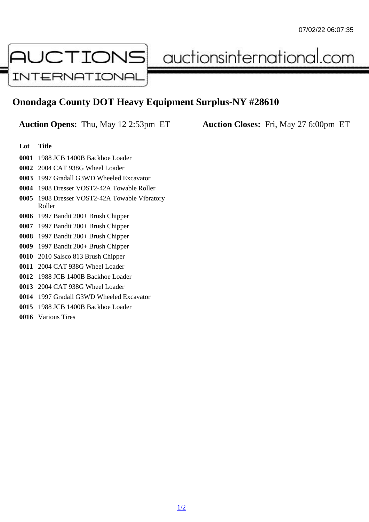## Onondaga County DOT Heavy Equipment Surplus-NY #28610

Auction Opens: Thu, May 12 2:53pm ET Auction Closes: Fri, May 27 6:00pm ET

## Lot Title

1988 JCB 1400B Backhoe Loader

2004 CAT 938G Wheel Loader

- 1997 Gradall G3WD Wheeled Excavator
- 1988 Dresser VOST2-42A Towable Roller
- 1988 Dresser VOST2-42A Towable Vibratory Roller
- 1997 Bandit 200+ Brush Chipper

1997 Bandit 200+ Brush Chipper

1997 Bandit 200+ Brush Chipper

- 1997 Bandit 200+ Brush Chipper
- 2010 Salsco 813 Brush Chipper
- 2004 CAT 938G Wheel Loader
- 1988 JCB 1400B Backhoe Loader
- 2004 CAT 938G Wheel Loader
- 1997 Gradall G3WD Wheeled Excavator
- 1988 JCB 1400B Backhoe Loader
- Various Tires